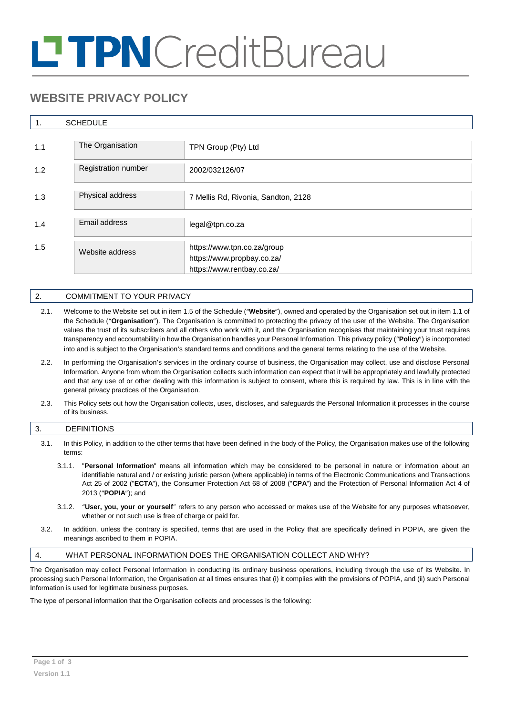# **TPN**CreditBureau

# **WEBSITE PRIVACY POLICY**

# 1. SCHEDULE

| 1.1 | The Organisation           | TPN Group (Pty) Ltd                                                                     |
|-----|----------------------------|-----------------------------------------------------------------------------------------|
| 1.2 | <b>Registration number</b> | 2002/032126/07                                                                          |
| 1.3 | Physical address           | 7 Mellis Rd, Rivonia, Sandton, 2128                                                     |
| 1.4 | Email address              | legal@tpn.co.za                                                                         |
| 1.5 | Website address            | https://www.tpn.co.za/group<br>https://www.propbay.co.za/<br>https://www.rentbay.co.za/ |

# 2. COMMITMENT TO YOUR PRIVACY

- 2.1. Welcome to the Website set out in item 1.5 of the Schedule ("**Website**"), owned and operated by the Organisation set out in item 1.1 of the Schedule ("**Organisation**"). The Organisation is committed to protecting the privacy of the user of the Website. The Organisation values the trust of its subscribers and all others who work with it, and the Organisation recognises that maintaining your trust requires transparency and accountability in how the Organisation handles your Personal Information. This privacy policy ("**Policy**") is incorporated into and is subject to the Organisation's standard terms and conditions and the general terms relating to the use of the Website.
- 2.2. In performing the Organisation's services in the ordinary course of business, the Organisation may collect, use and disclose Personal Information. Anyone from whom the Organisation collects such information can expect that it will be appropriately and lawfully protected and that any use of or other dealing with this information is subject to consent, where this is required by law. This is in line with the general privacy practices of the Organisation.
- 2.3. This Policy sets out how the Organisation collects, uses, discloses, and safeguards the Personal Information it processes in the course of its business.

# 3. DEFINITIONS

- 3.1. In this Policy, in addition to the other terms that have been defined in the body of the Policy, the Organisation makes use of the following terms:
	- 3.1.1. "**Personal Information**" means all information which may be considered to be personal in nature or information about an identifiable natural and / or existing juristic person (where applicable) in terms of the Electronic Communications and Transactions Act 25 of 2002 ("**ECTA**"), the Consumer Protection Act 68 of 2008 ("**CPA**") and the Protection of Personal Information Act 4 of 2013 ("**POPIA**"); and
	- 3.1.2. "**User, you, your or yourself**" refers to any person who accessed or makes use of the Website for any purposes whatsoever, whether or not such use is free of charge or paid for.
- 3.2. In addition, unless the contrary is specified, terms that are used in the Policy that are specifically defined in POPIA, are given the meanings ascribed to them in POPIA.

# 4. WHAT PERSONAL INFORMATION DOES THE ORGANISATION COLLECT AND WHY?

The Organisation may collect Personal Information in conducting its ordinary business operations, including through the use of its Website. In processing such Personal Information, the Organisation at all times ensures that (i) it complies with the provisions of POPIA, and (ii) such Personal Information is used for legitimate business purposes.

The type of personal information that the Organisation collects and processes is the following: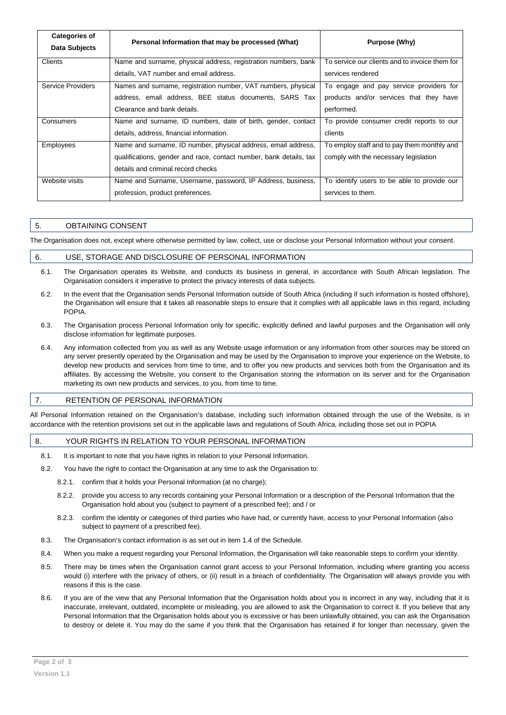| <b>Categories of</b><br>Data Subjects | Personal Information that may be processed (What)                  | Purpose (Why)                                  |
|---------------------------------------|--------------------------------------------------------------------|------------------------------------------------|
| <b>Clients</b>                        | Name and surname, physical address, registration numbers, bank     | To service our clients and to invoice them for |
|                                       | details, VAT number and email address.                             | services rendered                              |
| <b>Service Providers</b>              | Names and surname, registration number, VAT numbers, physical      | To engage and pay service providers for        |
|                                       | address, email address, BEE status documents, SARS Tax             | products and/or services that they have        |
|                                       | Clearance and bank details.                                        | performed.                                     |
| Consumers                             | Name and surname, ID numbers, date of birth, gender, contact       | To provide consumer credit reports to our      |
|                                       | details, address, financial information.                           | clients                                        |
| <b>Employees</b>                      | Name and surname, ID number, physical address, email address,      | To employ staff and to pay them monthly and    |
|                                       | qualifications, gender and race, contact number, bank details, tax | comply with the necessary legislation          |
|                                       | details and criminal record checks                                 |                                                |
| Website visits                        | Name and Surname, Username, password, IP Address, business,        | To identify users to be able to provide our    |
|                                       | profession, product preferences.                                   | services to them.                              |

# 5. OBTAINING CONSENT

The Organisation does not, except where otherwise permitted by law, collect, use or disclose your Personal Information without your consent.

#### 6. USE, STORAGE AND DISCLOSURE OF PERSONAL INFORMATION

- 6.1. The Organisation operates its Website, and conducts its business in general, in accordance with South African legislation. The Organisation considers it imperative to protect the privacy interests of data subjects.
- 6.2. In the event that the Organisation sends Personal Information outside of South Africa (including if such information is hosted offshore), the Organisation will ensure that it takes all reasonable steps to ensure that it complies with all applicable laws in this regard, including POPIA.
- 6.3. The Organisation process Personal Information only for specific, explicitly defined and lawful purposes and the Organisation will only disclose information for legitimate purposes.
- 6.4. Any information collected from you as well as any Website usage information or any information from other sources may be stored on any server presently operated by the Organisation and may be used by the Organisation to improve your experience on the Website, to develop new products and services from time to time, and to offer you new products and services both from the Organisation and its affiliates. By accessing the Website, you consent to the Organisation storing the information on its server and for the Organisation marketing its own new products and services, to you, from time to time.

# 7. RETENTION OF PERSONAL INFORMATION

All Personal Information retained on the Organisation's database, including such information obtained through the use of the Website, is in accordance with the retention provisions set out in the applicable laws and regulations of South Africa, including those set out in POPIA

## 8. YOUR RIGHTS IN RELATION TO YOUR PERSONAL INFORMATION

- 8.1. It is important to note that you have rights in relation to your Personal Information.
- 8.2. You have the right to contact the Organisation at any time to ask the Organisation to:
	- 8.2.1. confirm that it holds your Personal Information (at no charge);
	- 8.2.2. provide you access to any records containing your Personal Information or a description of the Personal Information that the Organisation hold about you (subject to payment of a prescribed fee); and / or
	- 8.2.3. confirm the identity or categories of third parties who have had, or currently have, access to your Personal Information (also subject to payment of a prescribed fee).
- 8.3. The Organisation's contact information is as set out in item 1.4 of the Schedule.
- 8.4. When you make a request regarding your Personal Information, the Organisation will take reasonable steps to confirm your identity.
- 8.5. There may be times when the Organisation cannot grant access to your Personal Information, including where granting you access would (i) interfere with the privacy of others, or (ii) result in a breach of confidentiality. The Organisation will always provide you with reasons if this is the case.
- 8.6. If you are of the view that any Personal Information that the Organisation holds about you is incorrect in any way, including that it is inaccurate, irrelevant, outdated, incomplete or misleading, you are allowed to ask the Organisation to correct it. If you believe that any Personal Information that the Organisation holds about you is excessive or has been unlawfully obtained, you can ask the Organisation to destroy or delete it. You may do the same if you think that the Organisation has retained if for longer than necessary, given the